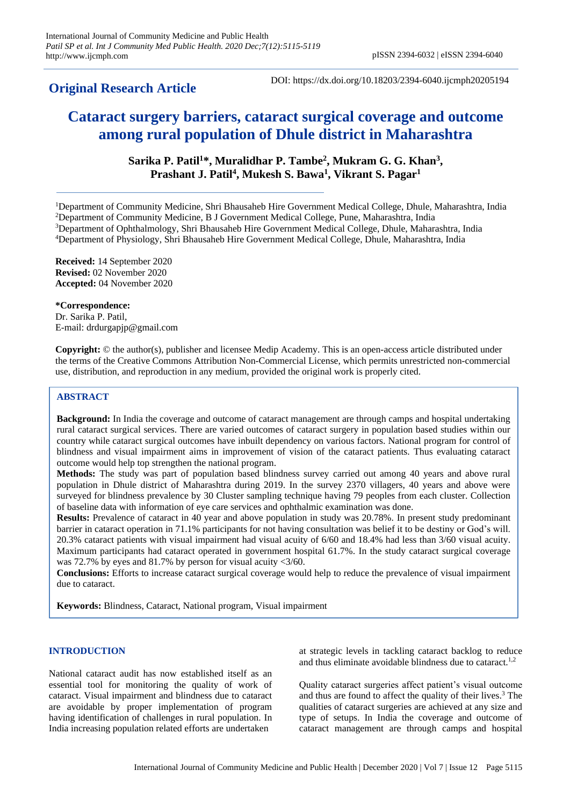# **Original Research Article**

DOI: https://dx.doi.org/10.18203/2394-6040.ijcmph20205194

# **Cataract surgery barriers, cataract surgical coverage and outcome among rural population of Dhule district in Maharashtra**

**Sarika P. Patil<sup>1</sup>\*, Muralidhar P. Tambe<sup>2</sup> , Mukram G. G. Khan<sup>3</sup> , Prashant J. Patil<sup>4</sup> , Mukesh S. Bawa<sup>1</sup> , Vikrant S. Pagar<sup>1</sup>**

Department of Community Medicine, Shri Bhausaheb Hire Government Medical College, Dhule, Maharashtra, India Department of Community Medicine, B J Government Medical College, Pune, Maharashtra, India Department of Ophthalmology, Shri Bhausaheb Hire Government Medical College, Dhule, Maharashtra, India Department of Physiology, Shri Bhausaheb Hire Government Medical College, Dhule, Maharashtra, India

**Received:** 14 September 2020 **Revised:** 02 November 2020 **Accepted:** 04 November 2020

**\*Correspondence:** Dr. Sarika P. Patil, E-mail: drdurgapjp@gmail.com

**Copyright:** © the author(s), publisher and licensee Medip Academy. This is an open-access article distributed under the terms of the Creative Commons Attribution Non-Commercial License, which permits unrestricted non-commercial use, distribution, and reproduction in any medium, provided the original work is properly cited.

# **ABSTRACT**

**Background:** In India the coverage and outcome of cataract management are through camps and hospital undertaking rural cataract surgical services. There are varied outcomes of cataract surgery in population based studies within our country while cataract surgical outcomes have inbuilt dependency on various factors. National program for control of blindness and visual impairment aims in improvement of vision of the cataract patients. Thus evaluating cataract outcome would help top strengthen the national program.

**Methods:** The study was part of population based blindness survey carried out among 40 years and above rural population in Dhule district of Maharashtra during 2019. In the survey 2370 villagers, 40 years and above were surveyed for blindness prevalence by 30 Cluster sampling technique having 79 peoples from each cluster. Collection of baseline data with information of eye care services and ophthalmic examination was done.

**Results:** Prevalence of cataract in 40 year and above population in study was 20.78%. In present study predominant barrier in cataract operation in 71.1% participants for not having consultation was belief it to be destiny or God's will. 20.3% cataract patients with visual impairment had visual acuity of 6/60 and 18.4% had less than 3/60 visual acuity. Maximum participants had cataract operated in government hospital 61.7%. In the study cataract surgical coverage was 72.7% by eyes and 81.7% by person for visual acuity <3/60.

**Conclusions:** Efforts to increase cataract surgical coverage would help to reduce the prevalence of visual impairment due to cataract.

**Keywords:** Blindness, Cataract, National program, Visual impairment

# **INTRODUCTION**

National cataract audit has now established itself as an essential tool for monitoring the quality of work of cataract. Visual impairment and blindness due to cataract are avoidable by proper implementation of program having identification of challenges in rural population. In India increasing population related efforts are undertaken

at strategic levels in tackling cataract backlog to reduce and thus eliminate avoidable blindness due to cataract.<sup>1,2</sup>

Quality cataract surgeries affect patient's visual outcome and thus are found to affect the quality of their lives.<sup>3</sup> The qualities of cataract surgeries are achieved at any size and type of setups. In India the coverage and outcome of cataract management are through camps and hospital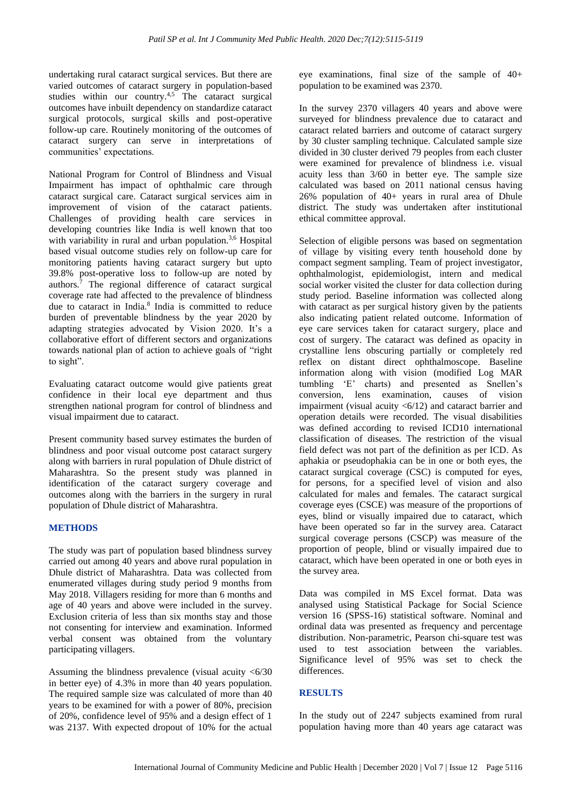undertaking rural cataract surgical services. But there are varied outcomes of cataract surgery in population-based studies within our country.<sup>4,5</sup> The cataract surgical outcomes have inbuilt dependency on standardize cataract surgical protocols, surgical skills and post-operative follow-up care. Routinely monitoring of the outcomes of cataract surgery can serve in interpretations of communities' expectations.

National Program for Control of Blindness and Visual Impairment has impact of ophthalmic care through cataract surgical care. Cataract surgical services aim in improvement of vision of the cataract patients. Challenges of providing health care services in developing countries like India is well known that too with variability in rural and urban population.<sup>3,6</sup> Hospital based visual outcome studies rely on follow-up care for monitoring patients having cataract surgery but upto 39.8% post-operative loss to follow-up are noted by authors.<sup>7</sup> The regional difference of cataract surgical coverage rate had affected to the prevalence of blindness due to cataract in India.<sup>8</sup> India is committed to reduce burden of preventable blindness by the year 2020 by adapting strategies advocated by Vision 2020. It's a collaborative effort of different sectors and organizations towards national plan of action to achieve goals of "right to sight".

Evaluating cataract outcome would give patients great confidence in their local eye department and thus strengthen national program for control of blindness and visual impairment due to cataract.

Present community based survey estimates the burden of blindness and poor visual outcome post cataract surgery along with barriers in rural population of Dhule district of Maharashtra. So the present study was planned in identification of the cataract surgery coverage and outcomes along with the barriers in the surgery in rural population of Dhule district of Maharashtra.

# **METHODS**

The study was part of population based blindness survey carried out among 40 years and above rural population in Dhule district of Maharashtra. Data was collected from enumerated villages during study period 9 months from May 2018. Villagers residing for more than 6 months and age of 40 years and above were included in the survey. Exclusion criteria of less than six months stay and those not consenting for interview and examination. Informed verbal consent was obtained from the voluntary participating villagers.

Assuming the blindness prevalence (visual acuity <6/30 in better eye) of 4.3% in more than 40 years population. The required sample size was calculated of more than 40 years to be examined for with a power of 80%, precision of 20%, confidence level of 95% and a design effect of 1 was 2137. With expected dropout of 10% for the actual

eye examinations, final size of the sample of 40+ population to be examined was 2370.

In the survey 2370 villagers 40 years and above were surveyed for blindness prevalence due to cataract and cataract related barriers and outcome of cataract surgery by 30 cluster sampling technique. Calculated sample size divided in 30 cluster derived 79 peoples from each cluster were examined for prevalence of blindness i.e. visual acuity less than 3/60 in better eye. The sample size calculated was based on 2011 national census having 26% population of 40+ years in rural area of Dhule district. The study was undertaken after institutional ethical committee approval.

Selection of eligible persons was based on segmentation of village by visiting every tenth household done by compact segment sampling. Team of project investigator, ophthalmologist, epidemiologist, intern and medical social worker visited the cluster for data collection during study period. Baseline information was collected along with cataract as per surgical history given by the patients also indicating patient related outcome. Information of eye care services taken for cataract surgery, place and cost of surgery. The cataract was defined as opacity in crystalline lens obscuring partially or completely red reflex on distant direct ophthalmoscope. Baseline information along with vision (modified Log MAR tumbling 'E' charts) and presented as Snellen's conversion, lens examination, causes of vision impairment (visual acuity  $\langle 6/12 \rangle$  and cataract barrier and operation details were recorded. The visual disabilities was defined according to revised ICD10 international classification of diseases. The restriction of the visual field defect was not part of the definition as per ICD. As aphakia or pseudophakia can be in one or both eyes, the cataract surgical coverage (CSC) is computed for eyes, for persons, for a specified level of vision and also calculated for males and females. The cataract surgical coverage eyes (CSCE) was measure of the proportions of eyes, blind or visually impaired due to cataract, which have been operated so far in the survey area. Cataract surgical coverage persons (CSCP) was measure of the proportion of people, blind or visually impaired due to cataract, which have been operated in one or both eyes in the survey area.

Data was compiled in MS Excel format. Data was analysed using Statistical Package for Social Science version 16 (SPSS-16) statistical software. Nominal and ordinal data was presented as frequency and percentage distribution. Non-parametric, Pearson chi-square test was used to test association between the variables. Significance level of 95% was set to check the differences.

# **RESULTS**

In the study out of 2247 subjects examined from rural population having more than 40 years age cataract was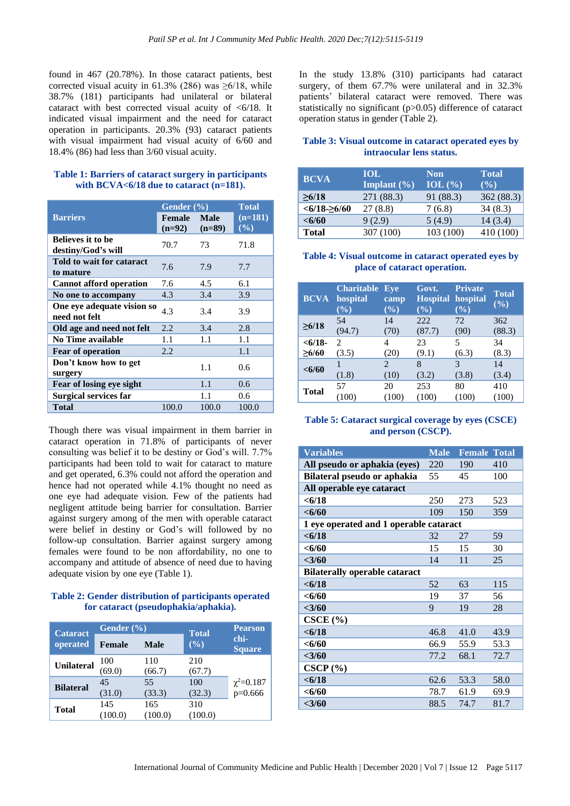found in 467 (20.78%). In those cataract patients, best corrected visual acuity in 61.3% (286) was  $\geq 6/18$ , while 38.7% (181) participants had unilateral or bilateral cataract with best corrected visual acuity of <6/18. It indicated visual impairment and the need for cataract operation in participants. 20.3% (93) cataract patients with visual impairment had visual acuity of 6/60 and 18.4% (86) had less than 3/60 visual acuity.

#### **Table 1: Barriers of cataract surgery in participants with BCVA<6/18 due to cataract (n=181).**

|                                                | Gender $(\% )$     | <b>Total</b>            |                  |
|------------------------------------------------|--------------------|-------------------------|------------------|
| <b>Barriers</b>                                | Female<br>$(n=92)$ | <b>Male</b><br>$(n=89)$ | $(n=181)$<br>(%) |
| <b>Believes it to be</b><br>destiny/God's will | 70.7               | 73                      | 71.8             |
| Told to wait for cataract<br>to mature         | 7.6                | 7.9                     | 7.7              |
| <b>Cannot afford operation</b>                 | 7.6                | 4.5                     | 6.1              |
| No one to accompany                            | 4.3                | 3.4                     | 3.9              |
| One eye adequate vision so<br>need not felt    | 4.3                | 3.4                     | 3.9              |
| Old age and need not felt                      | 2.2                | 3.4                     | 2.8              |
| No Time available                              | 1.1                | 1.1                     | 1.1              |
| <b>Fear of operation</b>                       | 2.2                |                         | 1.1              |
| Don't know how to get<br>surgery               |                    | 1.1                     | 0.6              |
| Fear of losing eye sight                       |                    | 1.1                     | 0.6              |
| <b>Surgical services far</b>                   |                    | 1.1                     | 0.6              |
| <b>Total</b>                                   | 100.0              | 100.0                   | 100.0            |

Though there was visual impairment in them barrier in cataract operation in 71.8% of participants of never consulting was belief it to be destiny or God's will. 7.7% participants had been told to wait for cataract to mature and get operated, 6.3% could not afford the operation and hence had not operated while 4.1% thought no need as one eye had adequate vision. Few of the patients had negligent attitude being barrier for consultation. Barrier against surgery among of the men with operable cataract were belief in destiny or God's will followed by no follow-up consultation. Barrier against surgery among females were found to be non affordability, no one to accompany and attitude of absence of need due to having adequate vision by one eye (Table 1).

#### **Table 2: Gender distribution of participants operated for cataract (pseudophakia/aphakia).**

| <b>Cataract</b>   | Gender $(\% )$ |             | <b>Total</b> | <b>Pearson</b>              |  |
|-------------------|----------------|-------------|--------------|-----------------------------|--|
| operated          | <b>Female</b>  | <b>Male</b> | (%)          | chi-<br><b>Square</b>       |  |
| <b>Unilateral</b> | 100            | 110         | 210          |                             |  |
|                   | (69.0)         | (66.7)      | (67.7)       |                             |  |
| <b>Bilateral</b>  | 45             | 55          | 100          | $\chi^2 = 0.187$<br>p=0.666 |  |
|                   | (31.0)         | (33.3)      | (32.3)       |                             |  |
| <b>Total</b>      | 145            | 165         | 310          |                             |  |
|                   |                | (100.0)     | (100.0)      |                             |  |

In the study 13.8% (310) participants had cataract surgery, of them 67.7% were unilateral and in 32.3% patients' bilateral cataract were removed. There was statistically no significant (p>0.05) difference of cataract operation status in gender (Table 2).

# **Table 3: Visual outcome in cataract operated eyes by intraocular lens status.**

| <b>BCVA</b>   | <b>IOL</b>      | <b>Non</b>  | <b>Total</b> |
|---------------|-----------------|-------------|--------------|
|               | Implant $(\% )$ | IOL $(\% )$ | $($ %)       |
| >6/18         | 271 (88.3)      | 91 (88.3)   | 362(88.3)    |
| $<6/18-26/60$ | 27(8.8)         | 7(6.8)      | 34(8.3)      |
| < 6/60        | 9(2.9)          | 5(4.9)      | 14(3.4)      |
| <b>Total</b>  | 307 (100)       | 103 (100)   | 410 (100)    |

# **Table 4: Visual outcome in cataract operated eyes by place of cataract operation.**

| <b>BCVA</b>  | <b>Charitable</b><br>hospital<br>$(\sqrt[6]{\bullet})$ | Eve<br>camp<br>$(\sqrt[6]{\bullet})$ | Govt.<br><b>Hospital hospital</b><br>$(\%)$ | <b>Private</b><br>$(\%)$ | <b>Total</b><br>(%) |
|--------------|--------------------------------------------------------|--------------------------------------|---------------------------------------------|--------------------------|---------------------|
| >6/18        | 54                                                     | 14                                   | 222                                         | 72                       | 362                 |
|              | (94.7)                                                 | (70)                                 | (87.7)                                      | (90)                     | (88.3)              |
| < 6/18       | $\mathcal{D}_{\mathcal{L}}$                            | 4                                    | 23                                          | 5                        | 34                  |
| >6/60        | (3.5)                                                  | (20)                                 | (9.1)                                       | (6.3)                    | (8.3)               |
| < 6/60       | (1.8)                                                  | 2<br>(10)                            | 8<br>(3.2)                                  | $\mathcal{R}$<br>(3.8)   | 14<br>(3.4)         |
| <b>Total</b> | 57                                                     | 20                                   | 253                                         | 80                       | 410                 |
|              | (100)                                                  | (100)                                | (100)                                       | (100)                    | (100)               |

### **Table 5: Cataract surgical coverage by eyes (CSCE) and person (CSCP).**

| <b>Variables</b>                       | <b>Male</b> | <b>Female Total</b> |      |  |
|----------------------------------------|-------------|---------------------|------|--|
| All pseudo or aphakia (eyes)           | 220         | 190                 | 410  |  |
| Bilateral pseudo or aphakia            | 55          | 45                  | 100  |  |
| All operable eye cataract              |             |                     |      |  |
| < 6/18                                 | 250         | 273                 | 523  |  |
| $<\!\!6/60$                            | 109         | 150                 | 359  |  |
| 1 eye operated and 1 operable cataract |             |                     |      |  |
| < 6/18                                 | 32          | 27                  | 59   |  |
| $<\!\!6/60$                            | 15          | 15                  | 30   |  |
| $<$ 3/60                               | 14          | 11                  | 25   |  |
| <b>Bilaterally operable cataract</b>   |             |                     |      |  |
| < 6/18                                 | 52          | 63                  | 115  |  |
| $<$ 6/60                               | 19          | 37                  | 56   |  |
| $<$ 3/60                               | 9           | 19                  | 28   |  |
| CSCE(%)                                |             |                     |      |  |
| < 6/18                                 | 46.8        | 41.0                | 43.9 |  |
| $<\!\!6/60$                            | 66.9        | 55.9                | 53.3 |  |
| $<$ 3/60                               | 77.2        | 68.1                | 72.7 |  |
| $CSCP$ $%$                             |             |                     |      |  |
| < 6/18                                 | 62.6        | 53.3                | 58.0 |  |
| < 6/60                                 | 78.7        | 61.9                | 69.9 |  |
| $<$ 3/60                               | 88.5        | 74.7                | 81.7 |  |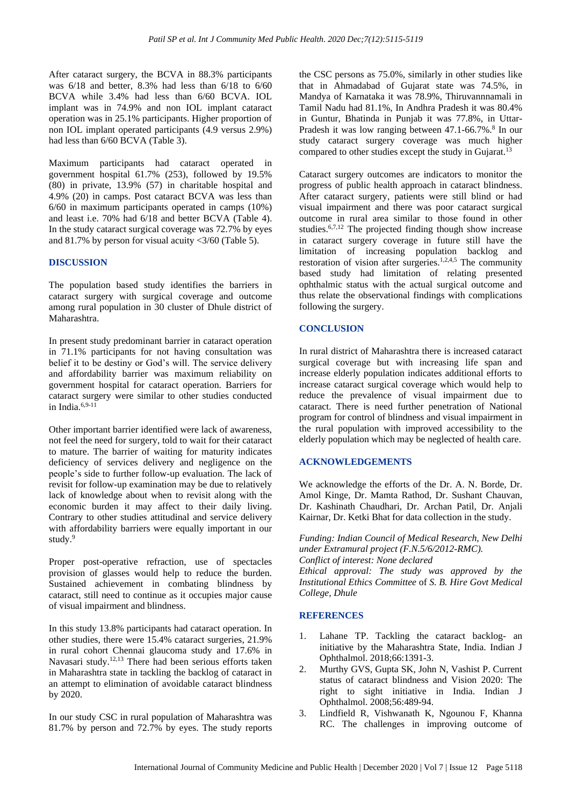After cataract surgery, the BCVA in 88.3% participants was 6/18 and better, 8.3% had less than 6/18 to 6/60 BCVA while 3.4% had less than 6/60 BCVA. IOL implant was in 74.9% and non IOL implant cataract operation was in 25.1% participants. Higher proportion of non IOL implant operated participants (4.9 versus 2.9%) had less than 6/60 BCVA (Table 3).

Maximum participants had cataract operated in government hospital 61.7% (253), followed by 19.5% (80) in private, 13.9% (57) in charitable hospital and 4.9% (20) in camps. Post cataract BCVA was less than 6/60 in maximum participants operated in camps (10%) and least i.e. 70% had 6/18 and better BCVA (Table 4). In the study cataract surgical coverage was 72.7% by eyes and 81.7% by person for visual acuity  $\langle 3/60 \rangle$  (Table 5).

### **DISCUSSION**

The population based study identifies the barriers in cataract surgery with surgical coverage and outcome among rural population in 30 cluster of Dhule district of Maharashtra.

In present study predominant barrier in cataract operation in 71.1% participants for not having consultation was belief it to be destiny or God's will. The service delivery and affordability barrier was maximum reliability on government hospital for cataract operation. Barriers for cataract surgery were similar to other studies conducted in India $6,9-11$ 

Other important barrier identified were lack of awareness, not feel the need for surgery, told to wait for their cataract to mature. The barrier of waiting for maturity indicates deficiency of services delivery and negligence on the people's side to further follow-up evaluation. The lack of revisit for follow-up examination may be due to relatively lack of knowledge about when to revisit along with the economic burden it may affect to their daily living. Contrary to other studies attitudinal and service delivery with affordability barriers were equally important in our study.<sup>9</sup>

Proper post-operative refraction, use of spectacles provision of glasses would help to reduce the burden. Sustained achievement in combating blindness by cataract, still need to continue as it occupies major cause of visual impairment and blindness.

In this study 13.8% participants had cataract operation. In other studies, there were 15.4% cataract surgeries, 21.9% in rural cohort Chennai glaucoma study and 17.6% in Navasari study.<sup>12,13</sup> There had been serious efforts taken in Maharashtra state in tackling the backlog of cataract in an attempt to elimination of avoidable cataract blindness by 2020.

In our study CSC in rural population of Maharashtra was 81.7% by person and 72.7% by eyes. The study reports

the CSC persons as 75.0%, similarly in other studies like that in Ahmadabad of Gujarat state was 74.5%, in Mandya of Karnataka it was 78.9%, Thiruvannnamali in Tamil Nadu had 81.1%, In Andhra Pradesh it was 80.4% in Guntur, Bhatinda in Punjab it was 77.8%, in Uttar-Pradesh it was low ranging between 47.1-66.7%.<sup>8</sup> In our study cataract surgery coverage was much higher compared to other studies except the study in Gujarat.<sup>13</sup>

Cataract surgery outcomes are indicators to monitor the progress of public health approach in cataract blindness. After cataract surgery, patients were still blind or had visual impairment and there was poor cataract surgical outcome in rural area similar to those found in other studies.6,7,12 The projected finding though show increase in cataract surgery coverage in future still have the limitation of increasing population backlog and restoration of vision after surgeries.<sup>1,2,4,5</sup> The community based study had limitation of relating presented ophthalmic status with the actual surgical outcome and thus relate the observational findings with complications following the surgery.

### **CONCLUSION**

In rural district of Maharashtra there is increased cataract surgical coverage but with increasing life span and increase elderly population indicates additional efforts to increase cataract surgical coverage which would help to reduce the prevalence of visual impairment due to cataract. There is need further penetration of National program for control of blindness and visual impairment in the rural population with improved accessibility to the elderly population which may be neglected of health care.

#### **ACKNOWLEDGEMENTS**

We acknowledge the efforts of the Dr. A. N. Borde, Dr. Amol Kinge, Dr. Mamta Rathod, Dr. Sushant Chauvan, Dr. Kashinath Chaudhari, Dr. Archan Patil, Dr. Anjali Kairnar, Dr. Ketki Bhat for data collection in the study.

*Funding: Indian Council of Medical Research, New Delhi under Extramural project (F.N.5/6/2012-RMC). Conflict of interest: None declared Ethical approval: The study was approved by the Institutional Ethics Committee* of *S. B. Hire Govt Medical College, Dhule*

#### **REFERENCES**

- 1. Lahane TP. Tackling the cataract backlog- an initiative by the Maharashtra State, India. Indian J Ophthalmol. 2018;66:1391-3.
- 2. Murthy GVS, Gupta SK, John N, Vashist P. Current status of cataract blindness and Vision 2020: The right to sight initiative in India. Indian J Ophthalmol. 2008;56:489-94.
- 3. Lindfield R, Vishwanath K, Ngounou F, Khanna RC. The challenges in improving outcome of